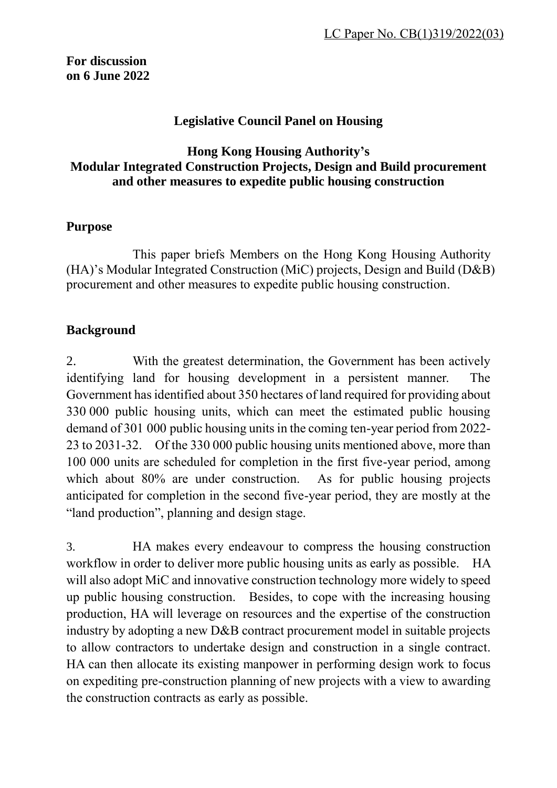**For discussion on 6 June 2022**

#### **Legislative Council Panel on Housing**

### **Hong Kong Housing Authority's Modular Integrated Construction Projects, Design and Build procurement and other measures to expedite public housing construction**

#### **Purpose**

This paper briefs Members on the Hong Kong Housing Authority (HA)'s Modular Integrated Construction (MiC) projects, Design and Build (D&B) procurement and other measures to expedite public housing construction.

#### **Background**

2. With the greatest determination, the Government has been actively identifying land for housing development in a persistent manner. The Government has identified about 350 hectares of land required for providing about 330 000 public housing units, which can meet the estimated public housing demand of 301 000 public housing units in the coming ten-year period from 2022- 23 to 2031-32. Of the 330 000 public housing units mentioned above, more than 100 000 units are scheduled for completion in the first five-year period, among which about 80% are under construction. As for public housing projects anticipated for completion in the second five-year period, they are mostly at the "land production", planning and design stage.

3. HA makes every endeavour to compress the housing construction workflow in order to deliver more public housing units as early as possible. HA will also adopt MiC and innovative construction technology more widely to speed up public housing construction. Besides, to cope with the increasing housing production, HA will leverage on resources and the expertise of the construction industry by adopting a new D&B contract procurement model in suitable projects to allow contractors to undertake design and construction in a single contract. HA can then allocate its existing manpower in performing design work to focus on expediting pre-construction planning of new projects with a view to awarding the construction contracts as early as possible.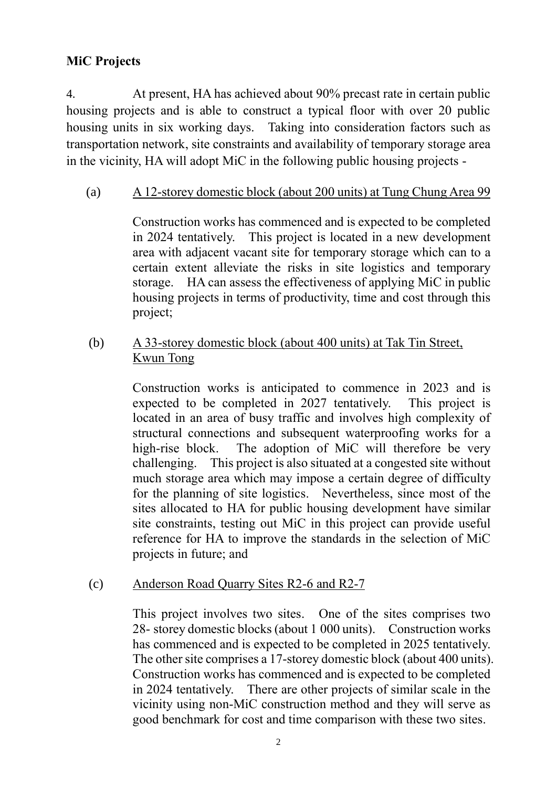# **MiC Projects**

4. At present, HA has achieved about 90% precast rate in certain public housing projects and is able to construct a typical floor with over 20 public housing units in six working days. Taking into consideration factors such as transportation network, site constraints and availability of temporary storage area in the vicinity, HA will adopt MiC in the following public housing projects -

(a) A 12-storey domestic block (about 200 units) at Tung Chung Area 99

Construction works has commenced and is expected to be completed in 2024 tentatively. This project is located in a new development area with adjacent vacant site for temporary storage which can to a certain extent alleviate the risks in site logistics and temporary storage. HA can assess the effectiveness of applying MiC in public housing projects in terms of productivity, time and cost through this project;

(b) A 33-storey domestic block (about 400 units) at Tak Tin Street, Kwun Tong

> Construction works is anticipated to commence in 2023 and is expected to be completed in 2027 tentatively.This project is located in an area of busy traffic and involves high complexity of structural connections and subsequent waterproofing works for a high-rise block. The adoption of MiC will therefore be very challenging. This project is also situated at a congested site without much storage area which may impose a certain degree of difficulty for the planning of site logistics. Nevertheless, since most of the sites allocated to HA for public housing development have similar site constraints, testing out MiC in this project can provide useful reference for HA to improve the standards in the selection of MiC projects in future; and

(c) Anderson Road Quarry Sites R2-6 and R2-7

This project involves two sites. One of the sites comprises two 28- storey domestic blocks (about 1 000 units). Construction works has commenced and is expected to be completed in 2025 tentatively. The other site comprises a 17-storey domestic block (about 400 units). Construction works has commenced and is expected to be completed in 2024 tentatively.There are other projects of similar scale in the vicinity using non-MiC construction method and they will serve as good benchmark for cost and time comparison with these two sites.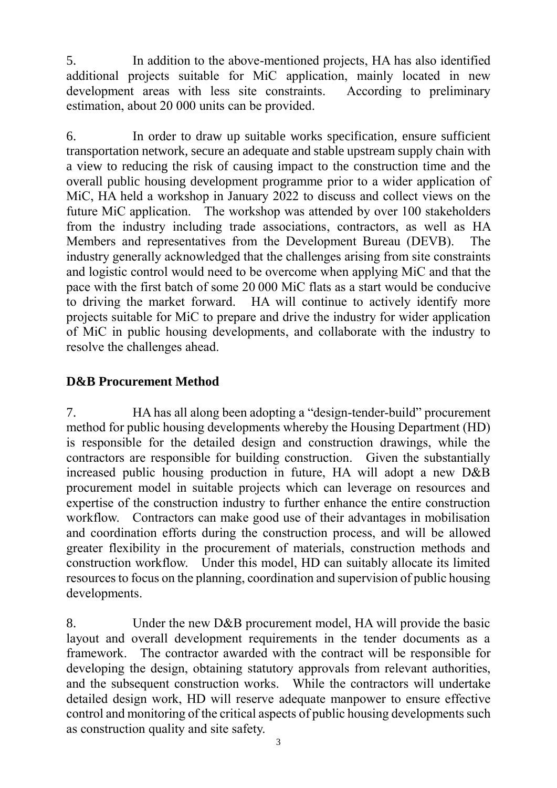5. In addition to the above-mentioned projects, HA has also identified additional projects suitable for MiC application, mainly located in new development areas with less site constraints. According to preliminary estimation, about 20 000 units can be provided.

6. In order to draw up suitable works specification, ensure sufficient transportation network, secure an adequate and stable upstream supply chain with a view to reducing the risk of causing impact to the construction time and the overall public housing development programme prior to a wider application of MiC, HA held a workshop in January 2022 to discuss and collect views on the future MiC application. The workshop was attended by over 100 stakeholders from the industry including trade associations, contractors, as well as HA Members and representatives from the Development Bureau (DEVB). The industry generally acknowledged that the challenges arising from site constraints and logistic control would need to be overcome when applying MiC and that the pace with the first batch of some 20 000 MiC flats as a start would be conducive to driving the market forward. HA will continue to actively identify more projects suitable for MiC to prepare and drive the industry for wider application of MiC in public housing developments, and collaborate with the industry to resolve the challenges ahead.

## **D&B Procurement Method**

7. HA has all along been adopting a "design-tender-build" procurement method for public housing developments whereby the Housing Department (HD) is responsible for the detailed design and construction drawings, while the contractors are responsible for building construction. Given the substantially increased public housing production in future, HA will adopt a new D&B procurement model in suitable projects which can leverage on resources and expertise of the construction industry to further enhance the entire construction workflow. Contractors can make good use of their advantages in mobilisation and coordination efforts during the construction process, and will be allowed greater flexibility in the procurement of materials, construction methods and construction workflow. Under this model, HD can suitably allocate its limited resources to focus on the planning, coordination and supervision of public housing developments.

8. Under the new D&B procurement model, HA will provide the basic layout and overall development requirements in the tender documents as a framework. The contractor awarded with the contract will be responsible for developing the design, obtaining statutory approvals from relevant authorities, and the subsequent construction works. While the contractors will undertake detailed design work, HD will reserve adequate manpower to ensure effective control and monitoring of the critical aspects of public housing developments such as construction quality and site safety.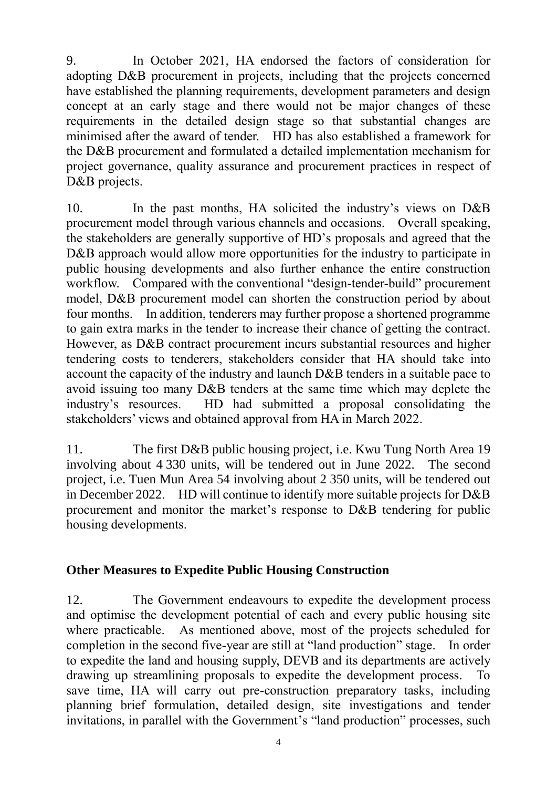9. In October 2021, HA endorsed the factors of consideration for adopting D&B procurement in projects, including that the projects concerned have established the planning requirements, development parameters and design concept at an early stage and there would not be major changes of these requirements in the detailed design stage so that substantial changes are minimised after the award of tender. HD has also established a framework for the D&B procurement and formulated a detailed implementation mechanism for project governance, quality assurance and procurement practices in respect of D&B projects.

10. In the past months, HA solicited the industry's views on D&B procurement model through various channels and occasions. Overall speaking, the stakeholders are generally supportive of HD's proposals and agreed that the D&B approach would allow more opportunities for the industry to participate in public housing developments and also further enhance the entire construction workflow. Compared with the conventional "design-tender-build" procurement model, D&B procurement model can shorten the construction period by about four months. In addition, tenderers may further propose a shortened programme to gain extra marks in the tender to increase their chance of getting the contract. However, as D&B contract procurement incurs substantial resources and higher tendering costs to tenderers, stakeholders consider that HA should take into account the capacity of the industry and launch D&B tenders in a suitable pace to avoid issuing too many D&B tenders at the same time which may deplete the industry's resources. HD had submitted a proposal consolidating the stakeholders' views and obtained approval from HA in March 2022.

11. The first D&B public housing project, i.e. Kwu Tung North Area 19 involving about 4 330 units, will be tendered out in June 2022. The second project, i.e. Tuen Mun Area 54 involving about 2 350 units, will be tendered out in December 2022. HD will continue to identify more suitable projects for D&B procurement and monitor the market's response to D&B tendering for public housing developments.

### **Other Measures to Expedite Public Housing Construction**

12. The Government endeavours to expedite the development process and optimise the development potential of each and every public housing site where practicable. As mentioned above, most of the projects scheduled for completion in the second five-year are still at "land production" stage. In order to expedite the land and housing supply, DEVB and its departments are actively drawing up streamlining proposals to expedite the development process. To save time, HA will carry out pre-construction preparatory tasks, including planning brief formulation, detailed design, site investigations and tender invitations, in parallel with the Government's "land production" processes, such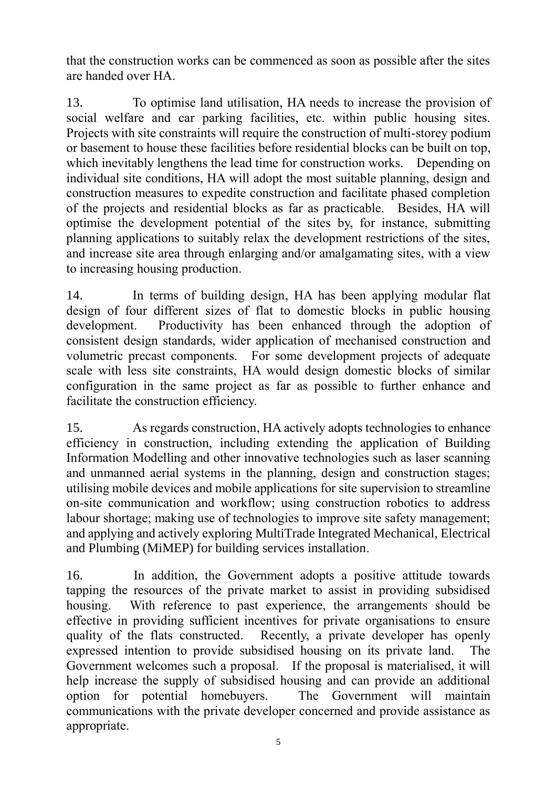that the construction works can be commenced as soon as possible after the sites are handed over HA.

13. To optimise land utilisation, HA needs to increase the provision of social welfare and car parking facilities, etc. within public housing sites. Projects with site constraints will require the construction of multi-storey podium or basement to house these facilities before residential blocks can be built on top, which inevitably lengthens the lead time for construction works. Depending on individual site conditions, HA will adopt the most suitable planning, design and construction measures to expedite construction and facilitate phased completion of the projects and residential blocks as far as practicable. Besides, HA will optimise the development potential of the sites by, for instance, submitting planning applications to suitably relax the development restrictions of the sites, and increase site area through enlarging and/or amalgamating sites, with a view to increasing housing production.

14. In terms of building design, HA has been applying modular flat design of four different sizes of flat to domestic blocks in public housing development. Productivity has been enhanced through the adoption of consistent design standards, wider application of mechanised construction and volumetric precast components. For some development projects of adequate scale with less site constraints, HA would design domestic blocks of similar configuration in the same project as far as possible to further enhance and facilitate the construction efficiency.

15. As regards construction, HA actively adopts technologies to enhance efficiency in construction, including extending the application of Building Information Modelling and other innovative technologies such as laser scanning and unmanned aerial systems in the planning, design and construction stages; utilising mobile devices and mobile applications for site supervision to streamline on-site communication and workflow; using construction robotics to address labour shortage; making use of technologies to improve site safety management; and applying and actively exploring MultiTrade Integrated Mechanical, Electrical and Plumbing (MiMEP) for building services installation.

16. In addition, the Government adopts a positive attitude towards tapping the resources of the private market to assist in providing subsidised housing. With reference to past experience, the arrangements should be effective in providing sufficient incentives for private organisations to ensure quality of the flats constructed. Recently, a private developer has openly expressed intention to provide subsidised housing on its private land. The Government welcomes such a proposal. If the proposal is materialised, it will help increase the supply of subsidised housing and can provide an additional option for potential homebuyers. The Government will maintain communications with the private developer concerned and provide assistance as appropriate.